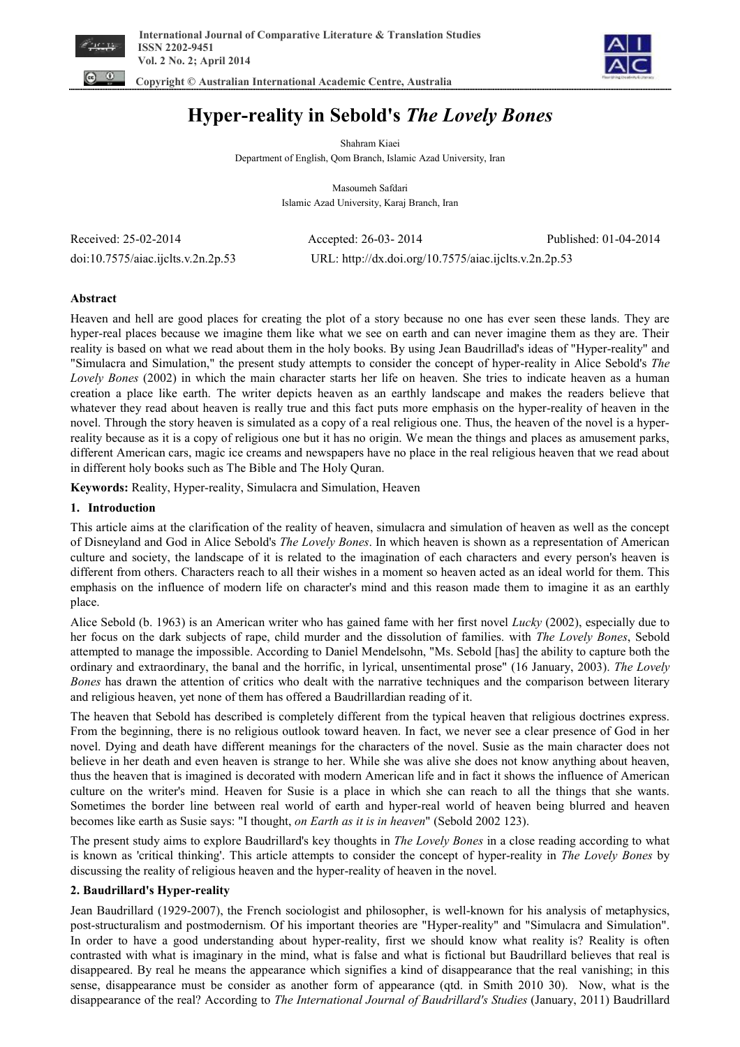



# **Hyper-reality in Sebold's** *The Lovely Bones*

Shahram Kiaei Department of English, Qom Branch, Islamic Azad University, Iran

> Masoumeh Safdari Islamic Azad University, Karaj Branch, Iran

Received: 25-02-2014 Accepted: 26-03- 2014 Published: 01-04-2014 doi:10.7575/aiac.ijclts.v.2n.2p.53 URL: http://dx.doi.org/10.7575/aiac.ijclts.v.2n.2p.53

# **Abstract**

Heaven and hell are good places for creating the plot of a story because no one has ever seen these lands. They are hyper-real places because we imagine them like what we see on earth and can never imagine them as they are. Their reality is based on what we read about them in the holy books. By using Jean Baudrillad's ideas of "Hyper-reality" and "Simulacra and Simulation," the present study attempts to consider the concept of hyper-reality in Alice Sebold's *The Lovely Bones* (2002) in which the main character starts her life on heaven. She tries to indicate heaven as a human creation a place like earth. The writer depicts heaven as an earthly landscape and makes the readers believe that whatever they read about heaven is really true and this fact puts more emphasis on the hyper-reality of heaven in the novel. Through the story heaven is simulated as a copy of a real religious one. Thus, the heaven of the novel is a hyperreality because as it is a copy of religious one but it has no origin. We mean the things and places as amusement parks, different American cars, magic ice creams and newspapers have no place in the real religious heaven that we read about in different holy books such as The Bible and The Holy Quran.

**Keywords:** Reality, Hyper-reality, Simulacra and Simulation, Heaven

# **1. Introduction**

This article aims at the clarification of the reality of heaven, simulacra and simulation of heaven as well as the concept of Disneyland and God in Alice Sebold's *The Lovely Bones*. In which heaven is shown as a representation of American culture and society, the landscape of it is related to the imagination of each characters and every person's heaven is different from others. Characters reach to all their wishes in a moment so heaven acted as an ideal world for them. This emphasis on the influence of modern life on character's mind and this reason made them to imagine it as an earthly place.

Alice Sebold (b. 1963) is an American writer who has gained fame with her first novel *Lucky* (2002), especially due to her focus on the dark subjects of rape, child murder and the dissolution of families. with *The Lovely Bones*, Sebold attempted to manage the impossible. According to Daniel Mendelsohn, "Ms. Sebold [has] the ability to capture both the ordinary and extraordinary, the banal and the horrific, in lyrical, unsentimental prose" (16 January, 2003). *The Lovely Bones* has drawn the attention of critics who dealt with the narrative techniques and the comparison between literary and religious heaven, yet none of them has offered a Baudrillardian reading of it.

The heaven that Sebold has described is completely different from the typical heaven that religious doctrines express. From the beginning, there is no religious outlook toward heaven. In fact, we never see a clear presence of God in her novel. Dying and death have different meanings for the characters of the novel. Susie as the main character does not believe in her death and even heaven is strange to her. While she was alive she does not know anything about heaven, thus the heaven that is imagined is decorated with modern American life and in fact it shows the influence of American culture on the writer's mind. Heaven for Susie is a place in which she can reach to all the things that she wants. Sometimes the border line between real world of earth and hyper-real world of heaven being blurred and heaven becomes like earth as Susie says: "I thought, *on Earth as it is in heaven*" (Sebold 2002 123).

The present study aims to explore Baudrillard's key thoughts in *The Lovely Bones* in a close reading according to what is known as 'critical thinking'. This article attempts to consider the concept of hyper-reality in *The Lovely Bones* by discussing the reality of religious heaven and the hyper-reality of heaven in the novel.

# **2. Baudrillard's Hyper-reality**

Jean Baudrillard (1929-2007), the French sociologist and philosopher, is well-known for his analysis of metaphysics, post-structuralism and postmodernism. Of his important theories are "Hyper-reality" and "Simulacra and Simulation". In order to have a good understanding about hyper-reality, first we should know what reality is? Reality is often contrasted with what is imaginary in the mind, what is false and what is fictional but Baudrillard believes that real is disappeared. By real he means the appearance which signifies a kind of disappearance that the real vanishing; in this sense, disappearance must be consider as another form of appearance (qtd. in Smith 2010 30). Now, what is the disappearance of the real? According to *The International Journal of Baudrillard's Studies* (January, 2011) Baudrillard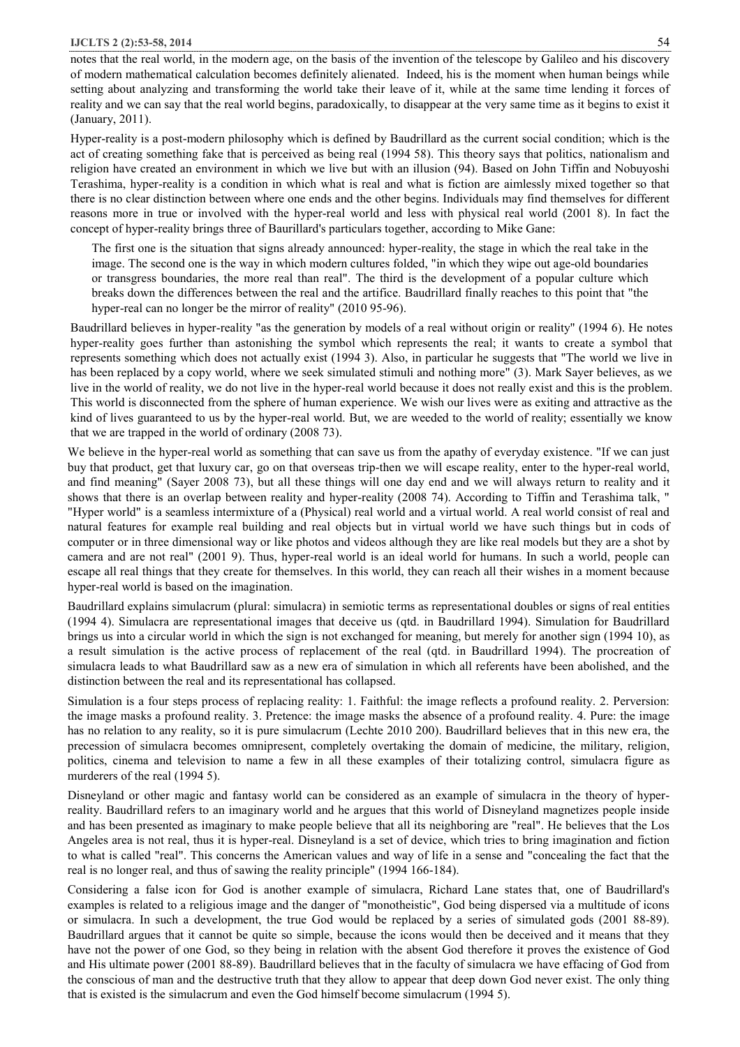notes that the real world, in the modern age, on the basis of the invention of the telescope by Galileo and his discovery of modern mathematical calculation becomes definitely alienated. Indeed, his is the moment when human beings while setting about analyzing and transforming the world take their leave of it, while at the same time lending it forces of reality and we can say that the real world begins, paradoxically, to disappear at the very same time as it begins to exist it (January, 2011).

Hyper-reality is a post-modern philosophy which is defined by Baudrillard as the current social condition; which is the act of creating something fake that is perceived as being real (1994 58). This theory says that politics, nationalism and religion have created an environment in which we live but with an illusion (94). Based on John Tiffin and Nobuyoshi Terashima, hyper-reality is a condition in which what is real and what is fiction are aimlessly mixed together so that there is no clear distinction between where one ends and the other begins. Individuals may find themselves for different reasons more in true or involved with the hyper-real world and less with physical real world (2001 8). In fact the concept of hyper-reality brings three of Baurillard's particulars together, according to Mike Gane:

The first one is the situation that signs already announced: hyper-reality, the stage in which the real take in the image. The second one is the way in which modern cultures folded, "in which they wipe out age-old boundaries or transgress boundaries, the more real than real". The third is the development of a popular culture which breaks down the differences between the real and the artifice. Baudrillard finally reaches to this point that "the hyper-real can no longer be the mirror of reality" (2010 95-96).

Baudrillard believes in hyper-reality "as the generation by models of a real without origin or reality" (1994 6). He notes hyper-reality goes further than astonishing the symbol which represents the real; it wants to create a symbol that represents something which does not actually exist (1994 3). Also, in particular he suggests that "The world we live in has been replaced by a copy world, where we seek simulated stimuli and nothing more" (3). Mark Sayer believes, as we live in the world of reality, we do not live in the hyper-real world because it does not really exist and this is the problem. This world is disconnected from the sphere of human experience. We wish our lives were as exiting and attractive as the kind of lives guaranteed to us by the hyper-real world. But, we are weeded to the world of reality; essentially we know that we are trapped in the world of ordinary (2008 73).

We believe in the hyper-real world as something that can save us from the apathy of everyday existence. "If we can just buy that product, get that luxury car, go on that overseas trip-then we will escape reality, enter to the hyper-real world, and find meaning" (Sayer 2008 73), but all these things will one day end and we will always return to reality and it shows that there is an overlap between reality and hyper-reality (2008 74). According to Tiffin and Terashima talk, " "Hyper world" is a seamless intermixture of a (Physical) real world and a virtual world. A real world consist of real and natural features for example real building and real objects but in virtual world we have such things but in cods of computer or in three dimensional way or like photos and videos although they are like real models but they are a shot by camera and are not real" (2001 9). Thus, hyper-real world is an ideal world for humans. In such a world, people can escape all real things that they create for themselves. In this world, they can reach all their wishes in a moment because hyper-real world is based on the imagination.

Baudrillard explains simulacrum (plural: simulacra) in semiotic terms as representational doubles or signs of real entities (1994 4). Simulacra are representational images that deceive us (qtd. in Baudrillard 1994). Simulation for Baudrillard brings us into a circular world in which the sign is not exchanged for meaning, but merely for another sign (1994 10), as a result simulation is the active process of replacement of the real (qtd. in Baudrillard 1994). The procreation of simulacra leads to what Baudrillard saw as a new era of simulation in which all referents have been abolished, and the distinction between the real and its representational has collapsed.

Simulation is a four steps process of replacing reality: 1. Faithful: the image reflects a profound reality. 2. Perversion: the image masks a profound reality. 3. Pretence: the image masks the absence of a profound reality. 4. Pure: the image has no relation to any reality, so it is pure simulacrum (Lechte 2010 200). Baudrillard believes that in this new era, the precession of simulacra becomes omnipresent, completely overtaking the domain of medicine, the military, religion, politics, cinema and television to name a few in all these examples of their totalizing control, simulacra figure as murderers of the real (1994 5).

Disneyland or other magic and fantasy world can be considered as an example of simulacra in the theory of hyperreality. Baudrillard refers to an imaginary world and he argues that this world of Disneyland magnetizes people inside and has been presented as imaginary to make people believe that all its neighboring are "real". He believes that the Los Angeles area is not real, thus it is hyper-real. Disneyland is a set of device, which tries to bring imagination and fiction to what is called "real". This concerns the American values and way of life in a sense and "concealing the fact that the real is no longer real, and thus of sawing the reality principle" (1994 166-184).

Considering a false icon for God is another example of simulacra, Richard Lane states that, one of Baudrillard's examples is related to a religious image and the danger of "monotheistic", God being dispersed via a multitude of icons or simulacra. In such a development, the true God would be replaced by a series of simulated gods (2001 88-89). Baudrillard argues that it cannot be quite so simple, because the icons would then be deceived and it means that they have not the power of one God, so they being in relation with the absent God therefore it proves the existence of God and His ultimate power (2001 88-89). Baudrillard believes that in the faculty of simulacra we have effacing of God from the conscious of man and the destructive truth that they allow to appear that deep down God never exist. The only thing that is existed is the simulacrum and even the God himself become simulacrum (1994 5).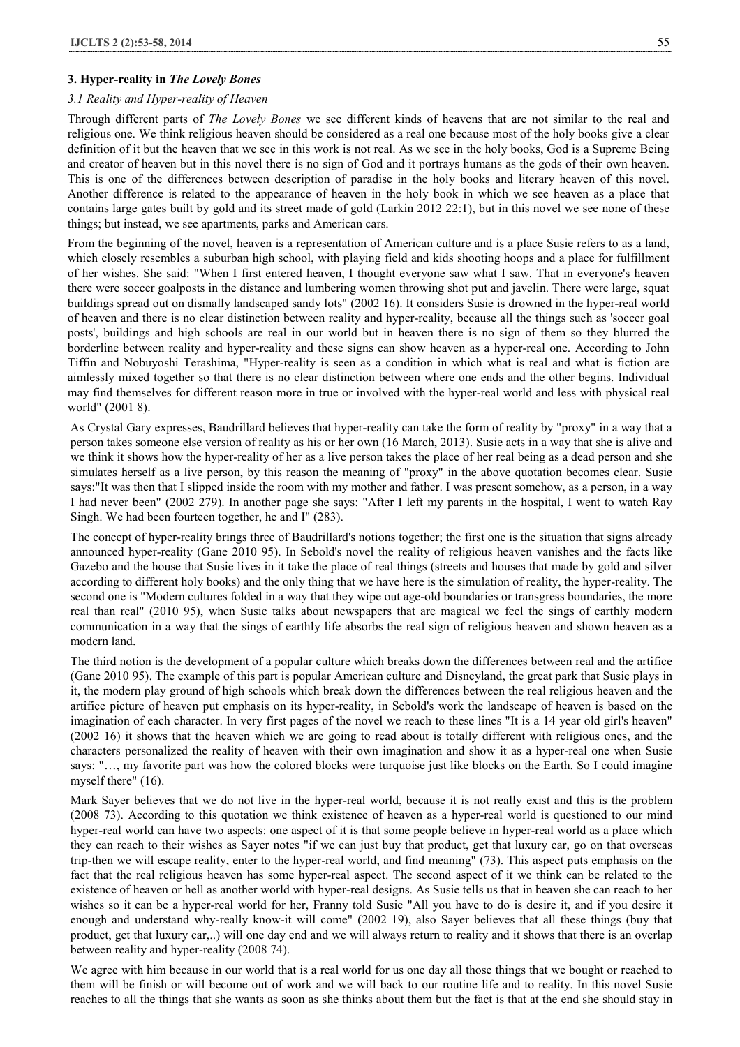## **3. Hyper-reality in** *The Lovely Bones*

#### *3.1 Reality and Hyper-reality of Heaven*

Through different parts of *The Lovely Bones* we see different kinds of heavens that are not similar to the real and religious one. We think religious heaven should be considered as a real one because most of the holy books give a clear definition of it but the heaven that we see in this work is not real. As we see in the holy books, God is a Supreme Being and creator of heaven but in this novel there is no sign of God and it portrays humans as the gods of their own heaven. This is one of the differences between description of paradise in the holy books and literary heaven of this novel. Another difference is related to the appearance of heaven in the holy book in which we see heaven as a place that contains large gates built by gold and its street made of gold (Larkin 2012 22:1), but in this novel we see none of these things; but instead, we see apartments, parks and American cars.

From the beginning of the novel, heaven is a representation of American culture and is a place Susie refers to as a land, which closely resembles a suburban high school, with playing field and kids shooting hoops and a place for fulfillment of her wishes. She said: "When I first entered heaven, I thought everyone saw what I saw. That in everyone's heaven there were soccer goalposts in the distance and lumbering women throwing shot put and javelin. There were large, squat buildings spread out on dismally landscaped sandy lots" (2002 16). It considers Susie is drowned in the hyper-real world of heaven and there is no clear distinction between reality and hyper-reality, because all the things such as 'soccer goal posts', buildings and high schools are real in our world but in heaven there is no sign of them so they blurred the borderline between reality and hyper-reality and these signs can show heaven as a hyper-real one. According to John Tiffin and Nobuyoshi Terashima, "Hyper-reality is seen as a condition in which what is real and what is fiction are aimlessly mixed together so that there is no clear distinction between where one ends and the other begins. Individual may find themselves for different reason more in true or involved with the hyper-real world and less with physical real world" (2001 8).

As Crystal Gary expresses, Baudrillard believes that hyper-reality can take the form of reality by "proxy" in a way that a person takes someone else version of reality as his or her own (16 March, 2013). Susie acts in a way that she is alive and we think it shows how the hyper-reality of her as a live person takes the place of her real being as a dead person and she simulates herself as a live person, by this reason the meaning of "proxy" in the above quotation becomes clear. Susie says:"It was then that I slipped inside the room with my mother and father. I was present somehow, as a person, in a way I had never been" (2002 279). In another page she says: "After I left my parents in the hospital, I went to watch Ray Singh. We had been fourteen together, he and I" (283).

The concept of hyper-reality brings three of Baudrillard's notions together; the first one is the situation that signs already announced hyper-reality (Gane 2010 95). In Sebold's novel the reality of religious heaven vanishes and the facts like Gazebo and the house that Susie lives in it take the place of real things (streets and houses that made by gold and silver according to different holy books) and the only thing that we have here is the simulation of reality, the hyper-reality. The second one is "Modern cultures folded in a way that they wipe out age-old boundaries or transgress boundaries, the more real than real" (2010 95), when Susie talks about newspapers that are magical we feel the sings of earthly modern communication in a way that the sings of earthly life absorbs the real sign of religious heaven and shown heaven as a modern land.

The third notion is the development of a popular culture which breaks down the differences between real and the artifice (Gane 2010 95). The example of this part is popular American culture and Disneyland, the great park that Susie plays in it, the modern play ground of high schools which break down the differences between the real religious heaven and the artifice picture of heaven put emphasis on its hyper-reality, in Sebold's work the landscape of heaven is based on the imagination of each character. In very first pages of the novel we reach to these lines "It is a 14 year old girl's heaven" (2002 16) it shows that the heaven which we are going to read about is totally different with religious ones, and the characters personalized the reality of heaven with their own imagination and show it as a hyper-real one when Susie says: "…, my favorite part was how the colored blocks were turquoise just like blocks on the Earth. So I could imagine myself there" (16).

Mark Sayer believes that we do not live in the hyper-real world, because it is not really exist and this is the problem (2008 73). According to this quotation we think existence of heaven as a hyper-real world is questioned to our mind hyper-real world can have two aspects: one aspect of it is that some people believe in hyper-real world as a place which they can reach to their wishes as Sayer notes "if we can just buy that product, get that luxury car, go on that overseas trip-then we will escape reality, enter to the hyper-real world, and find meaning" (73). This aspect puts emphasis on the fact that the real religious heaven has some hyper-real aspect. The second aspect of it we think can be related to the existence of heaven or hell as another world with hyper-real designs. As Susie tells us that in heaven she can reach to her wishes so it can be a hyper-real world for her, Franny told Susie "All you have to do is desire it, and if you desire it enough and understand why-really know-it will come" (2002 19), also Sayer believes that all these things (buy that product, get that luxury car,..) will one day end and we will always return to reality and it shows that there is an overlap between reality and hyper-reality (2008 74).

We agree with him because in our world that is a real world for us one day all those things that we bought or reached to them will be finish or will become out of work and we will back to our routine life and to reality. In this novel Susie reaches to all the things that she wants as soon as she thinks about them but the fact is that at the end she should stay in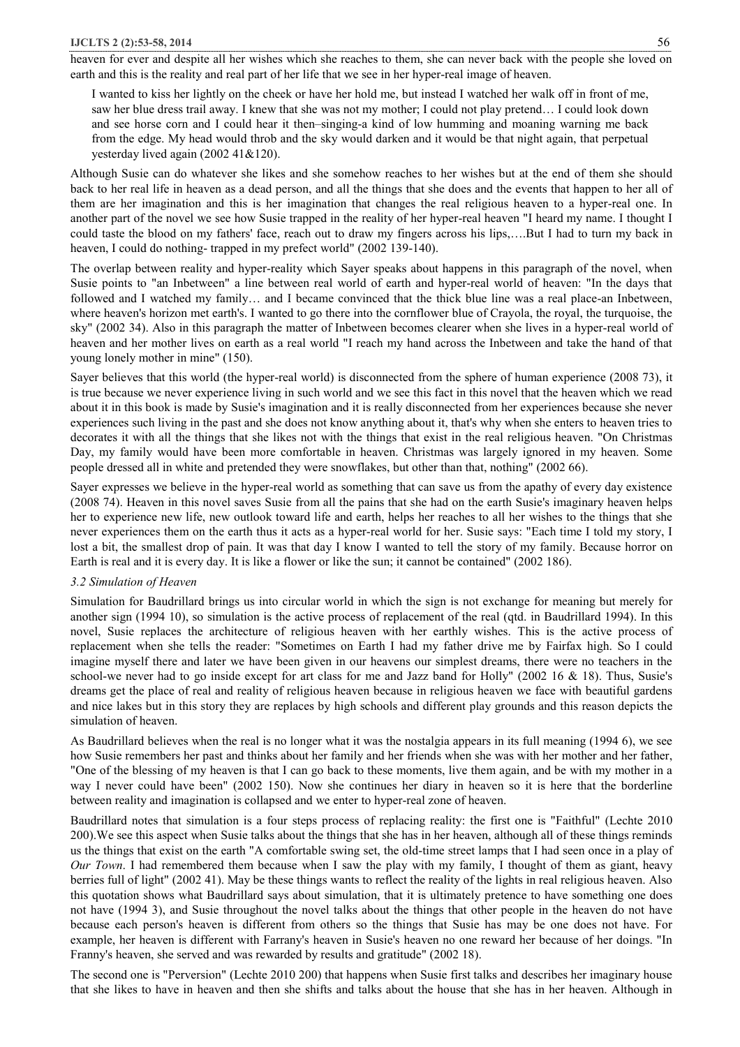heaven for ever and despite all her wishes which she reaches to them, she can never back with the people she loved on earth and this is the reality and real part of her life that we see in her hyper-real image of heaven.

I wanted to kiss her lightly on the cheek or have her hold me, but instead I watched her walk off in front of me, saw her blue dress trail away. I knew that she was not my mother; I could not play pretend… I could look down and see horse corn and I could hear it then–singing-a kind of low humming and moaning warning me back from the edge. My head would throb and the sky would darken and it would be that night again, that perpetual yesterday lived again (2002 41&120).

Although Susie can do whatever she likes and she somehow reaches to her wishes but at the end of them she should back to her real life in heaven as a dead person, and all the things that she does and the events that happen to her all of them are her imagination and this is her imagination that changes the real religious heaven to a hyper-real one. In another part of the novel we see how Susie trapped in the reality of her hyper-real heaven "I heard my name. I thought I could taste the blood on my fathers' face, reach out to draw my fingers across his lips,….But I had to turn my back in heaven, I could do nothing- trapped in my prefect world" (2002 139-140).

The overlap between reality and hyper-reality which Sayer speaks about happens in this paragraph of the novel, when Susie points to "an Inbetween" a line between real world of earth and hyper-real world of heaven: "In the days that followed and I watched my family… and I became convinced that the thick blue line was a real place-an Inbetween, where heaven's horizon met earth's. I wanted to go there into the cornflower blue of Crayola, the royal, the turquoise, the sky" (2002 34). Also in this paragraph the matter of Inbetween becomes clearer when she lives in a hyper-real world of heaven and her mother lives on earth as a real world "I reach my hand across the Inbetween and take the hand of that young lonely mother in mine" (150).

Sayer believes that this world (the hyper-real world) is disconnected from the sphere of human experience (2008 73), it is true because we never experience living in such world and we see this fact in this novel that the heaven which we read about it in this book is made by Susie's imagination and it is really disconnected from her experiences because she never experiences such living in the past and she does not know anything about it, that's why when she enters to heaven tries to decorates it with all the things that she likes not with the things that exist in the real religious heaven. "On Christmas Day, my family would have been more comfortable in heaven. Christmas was largely ignored in my heaven. Some people dressed all in white and pretended they were snowflakes, but other than that, nothing" (2002 66).

Sayer expresses we believe in the hyper-real world as something that can save us from the apathy of every day existence (2008 74). Heaven in this novel saves Susie from all the pains that she had on the earth Susie's imaginary heaven helps her to experience new life, new outlook toward life and earth, helps her reaches to all her wishes to the things that she never experiences them on the earth thus it acts as a hyper-real world for her. Susie says: "Each time I told my story, I lost a bit, the smallest drop of pain. It was that day I know I wanted to tell the story of my family. Because horror on Earth is real and it is every day. It is like a flower or like the sun; it cannot be contained" (2002 186).

## *3.2 Simulation of Heaven*

Simulation for Baudrillard brings us into circular world in which the sign is not exchange for meaning but merely for another sign (1994 10), so simulation is the active process of replacement of the real (qtd. in Baudrillard 1994). In this novel, Susie replaces the architecture of religious heaven with her earthly wishes. This is the active process of replacement when she tells the reader: "Sometimes on Earth I had my father drive me by Fairfax high. So I could imagine myself there and later we have been given in our heavens our simplest dreams, there were no teachers in the school-we never had to go inside except for art class for me and Jazz band for Holly" (2002 16 & 18). Thus, Susie's dreams get the place of real and reality of religious heaven because in religious heaven we face with beautiful gardens and nice lakes but in this story they are replaces by high schools and different play grounds and this reason depicts the simulation of heaven.

As Baudrillard believes when the real is no longer what it was the nostalgia appears in its full meaning (1994 6), we see how Susie remembers her past and thinks about her family and her friends when she was with her mother and her father, "One of the blessing of my heaven is that I can go back to these moments, live them again, and be with my mother in a way I never could have been" (2002 150). Now she continues her diary in heaven so it is here that the borderline between reality and imagination is collapsed and we enter to hyper-real zone of heaven.

Baudrillard notes that simulation is a four steps process of replacing reality: the first one is "Faithful" (Lechte 2010 200).We see this aspect when Susie talks about the things that she has in her heaven, although all of these things reminds us the things that exist on the earth "A comfortable swing set, the old-time street lamps that I had seen once in a play of *Our Town*. I had remembered them because when I saw the play with my family, I thought of them as giant, heavy berries full of light" (2002 41). May be these things wants to reflect the reality of the lights in real religious heaven. Also this quotation shows what Baudrillard says about simulation, that it is ultimately pretence to have something one does not have (1994 3), and Susie throughout the novel talks about the things that other people in the heaven do not have because each person's heaven is different from others so the things that Susie has may be one does not have. For example, her heaven is different with Farrany's heaven in Susie's heaven no one reward her because of her doings. "In Franny's heaven, she served and was rewarded by results and gratitude" (2002 18).

The second one is "Perversion" (Lechte 2010 200) that happens when Susie first talks and describes her imaginary house that she likes to have in heaven and then she shifts and talks about the house that she has in her heaven. Although in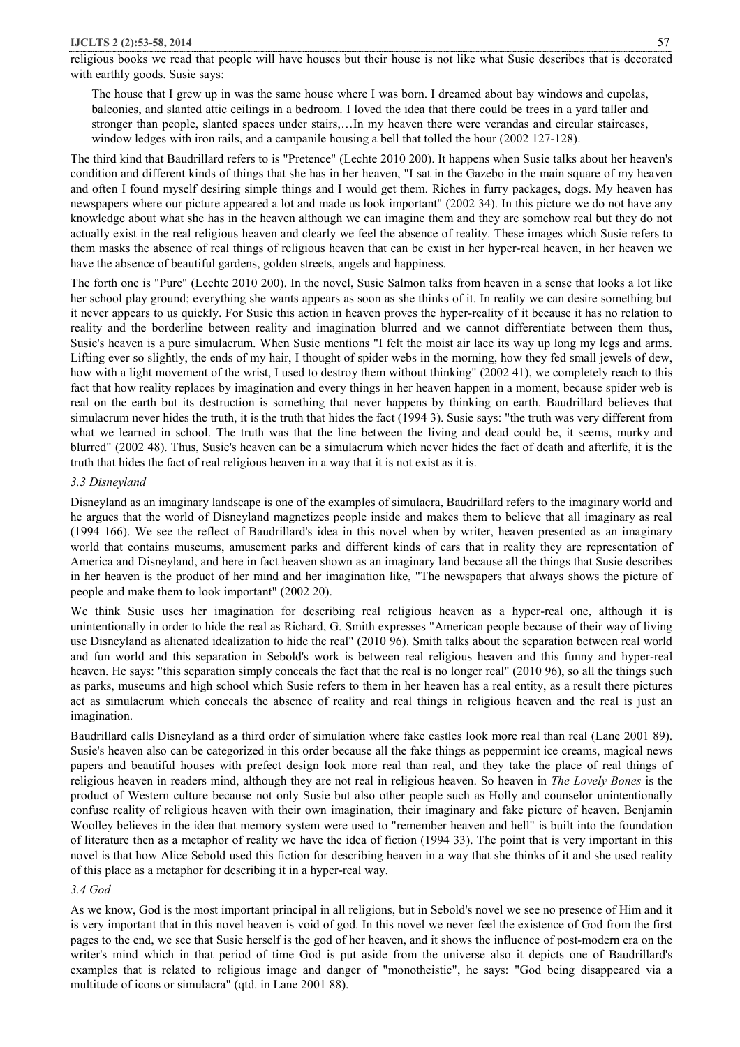#### **IJCLTS 2 (2):53-58, 2014** 57

religious books we read that people will have houses but their house is not like what Susie describes that is decorated with earthly goods. Susie says:

The house that I grew up in was the same house where I was born. I dreamed about bay windows and cupolas, balconies, and slanted attic ceilings in a bedroom. I loved the idea that there could be trees in a yard taller and stronger than people, slanted spaces under stairs,…In my heaven there were verandas and circular staircases, window ledges with iron rails, and a campanile housing a bell that tolled the hour (2002 127-128).

The third kind that Baudrillard refers to is "Pretence" (Lechte 2010 200). It happens when Susie talks about her heaven's condition and different kinds of things that she has in her heaven, "I sat in the Gazebo in the main square of my heaven and often I found myself desiring simple things and I would get them. Riches in furry packages, dogs. My heaven has newspapers where our picture appeared a lot and made us look important" (2002 34). In this picture we do not have any knowledge about what she has in the heaven although we can imagine them and they are somehow real but they do not actually exist in the real religious heaven and clearly we feel the absence of reality. These images which Susie refers to them masks the absence of real things of religious heaven that can be exist in her hyper-real heaven, in her heaven we have the absence of beautiful gardens, golden streets, angels and happiness.

The forth one is "Pure" (Lechte 2010 200). In the novel, Susie Salmon talks from heaven in a sense that looks a lot like her school play ground; everything she wants appears as soon as she thinks of it. In reality we can desire something but it never appears to us quickly. For Susie this action in heaven proves the hyper-reality of it because it has no relation to reality and the borderline between reality and imagination blurred and we cannot differentiate between them thus, Susie's heaven is a pure simulacrum. When Susie mentions "I felt the moist air lace its way up long my legs and arms. Lifting ever so slightly, the ends of my hair, I thought of spider webs in the morning, how they fed small jewels of dew, how with a light movement of the wrist, I used to destroy them without thinking" (2002 41), we completely reach to this fact that how reality replaces by imagination and every things in her heaven happen in a moment, because spider web is real on the earth but its destruction is something that never happens by thinking on earth. Baudrillard believes that simulacrum never hides the truth, it is the truth that hides the fact (1994 3). Susie says: "the truth was very different from what we learned in school. The truth was that the line between the living and dead could be, it seems, murky and blurred" (2002 48). Thus, Susie's heaven can be a simulacrum which never hides the fact of death and afterlife, it is the truth that hides the fact of real religious heaven in a way that it is not exist as it is.

## *3.3 Disneyland*

Disneyland as an imaginary landscape is one of the examples of simulacra, Baudrillard refers to the imaginary world and he argues that the world of Disneyland magnetizes people inside and makes them to believe that all imaginary as real (1994 166). We see the reflect of Baudrillard's idea in this novel when by writer, heaven presented as an imaginary world that contains museums, amusement parks and different kinds of cars that in reality they are representation of America and Disneyland, and here in fact heaven shown as an imaginary land because all the things that Susie describes in her heaven is the product of her mind and her imagination like, "The newspapers that always shows the picture of people and make them to look important" (2002 20).

We think Susie uses her imagination for describing real religious heaven as a hyper-real one, although it is unintentionally in order to hide the real as Richard, G. Smith expresses "American people because of their way of living use Disneyland as alienated idealization to hide the real" (2010 96). Smith talks about the separation between real world and fun world and this separation in Sebold's work is between real religious heaven and this funny and hyper-real heaven. He says: "this separation simply conceals the fact that the real is no longer real" (2010 96), so all the things such as parks, museums and high school which Susie refers to them in her heaven has a real entity, as a result there pictures act as simulacrum which conceals the absence of reality and real things in religious heaven and the real is just an imagination.

Baudrillard calls Disneyland as a third order of simulation where fake castles look more real than real (Lane 2001 89). Susie's heaven also can be categorized in this order because all the fake things as peppermint ice creams, magical news papers and beautiful houses with prefect design look more real than real, and they take the place of real things of religious heaven in readers mind, although they are not real in religious heaven. So heaven in *The Lovely Bones* is the product of Western culture because not only Susie but also other people such as Holly and counselor unintentionally confuse reality of religious heaven with their own imagination, their imaginary and fake picture of heaven. Benjamin Woolley believes in the idea that memory system were used to "remember heaven and hell" is built into the foundation of literature then as a metaphor of reality we have the idea of fiction (1994 33). The point that is very important in this novel is that how Alice Sebold used this fiction for describing heaven in a way that she thinks of it and she used reality of this place as a metaphor for describing it in a hyper-real way.

### *3.4 God*

As we know, God is the most important principal in all religions, but in Sebold's novel we see no presence of Him and it is very important that in this novel heaven is void of god. In this novel we never feel the existence of God from the first pages to the end, we see that Susie herself is the god of her heaven, and it shows the influence of post-modern era on the writer's mind which in that period of time God is put aside from the universe also it depicts one of Baudrillard's examples that is related to religious image and danger of "monotheistic", he says: "God being disappeared via a multitude of icons or simulacra" (qtd. in Lane 2001 88).